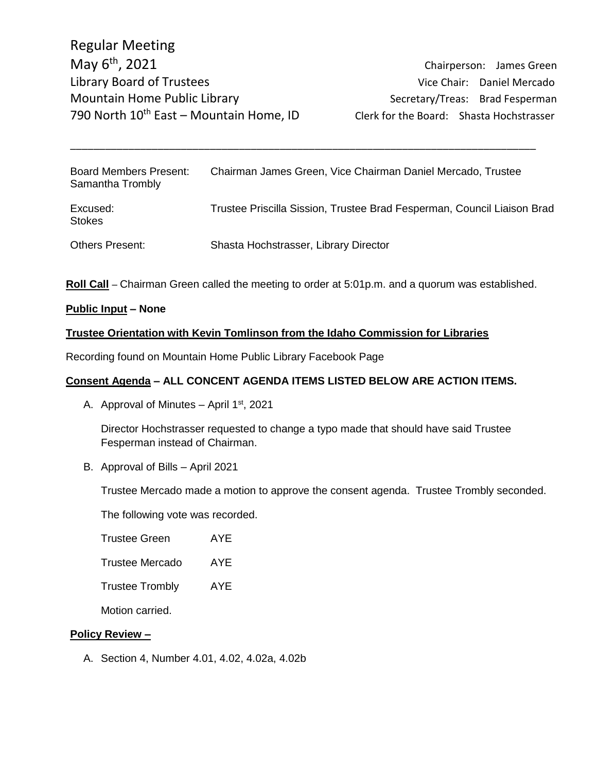Chairperson: James Green

| <b>Board Members Present:</b><br>Samantha Trombly | Chairman James Green, Vice Chairman Daniel Mercado, Trustee             |
|---------------------------------------------------|-------------------------------------------------------------------------|
| Excused:<br><b>Stokes</b>                         | Trustee Priscilla Sission, Trustee Brad Fesperman, Council Liaison Brad |
| <b>Others Present:</b>                            | Shasta Hochstrasser, Library Director                                   |

\_\_\_\_\_\_\_\_\_\_\_\_\_\_\_\_\_\_\_\_\_\_\_\_\_\_\_\_\_\_\_\_\_\_\_\_\_\_\_\_\_\_\_\_\_\_\_\_\_\_\_\_\_\_\_\_\_\_\_\_\_\_\_\_\_\_\_\_\_\_\_\_\_\_\_\_\_\_\_\_

**Roll Call** – Chairman Green called the meeting to order at 5:01p.m. and a quorum was established.

#### **Public Input – None**

### **Trustee Orientation with Kevin Tomlinson from the Idaho Commission for Libraries**

Recording found on Mountain Home Public Library Facebook Page

## **Consent Agenda – ALL CONCENT AGENDA ITEMS LISTED BELOW ARE ACTION ITEMS.**

A. Approval of Minutes  $-$  April 1st, 2021

Director Hochstrasser requested to change a typo made that should have said Trustee Fesperman instead of Chairman.

B. Approval of Bills – April 2021

Trustee Mercado made a motion to approve the consent agenda. Trustee Trombly seconded.

The following vote was recorded.

| Trustee Green | AYE |
|---------------|-----|
|---------------|-----|

| <b>Trustee Mercado</b> | AYE |
|------------------------|-----|
|------------------------|-----|

Trustee Trombly AYE

Motion carried.

#### **Policy Review –**

A. Section 4, Number 4.01, 4.02, 4.02a, 4.02b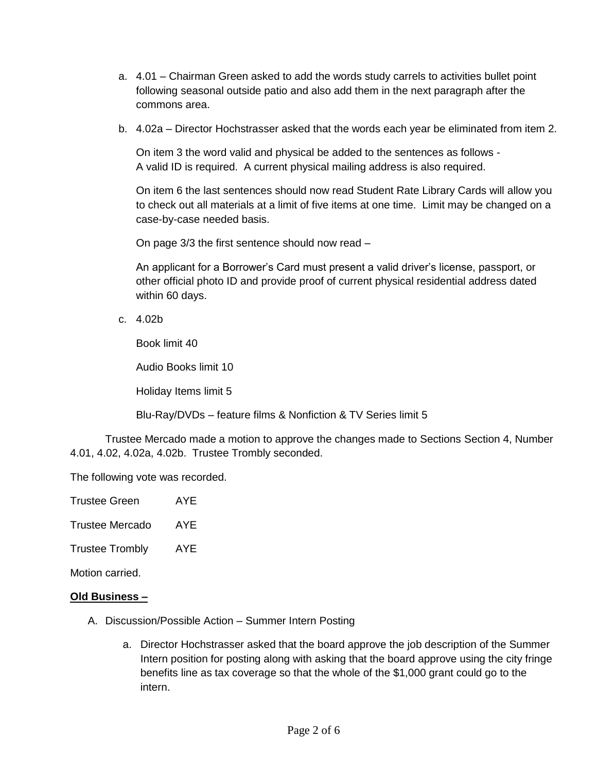- a. 4.01 Chairman Green asked to add the words study carrels to activities bullet point following seasonal outside patio and also add them in the next paragraph after the commons area.
- b. 4.02a Director Hochstrasser asked that the words each year be eliminated from item 2.

On item 3 the word valid and physical be added to the sentences as follows - A valid ID is required. A current physical mailing address is also required.

On item 6 the last sentences should now read Student Rate Library Cards will allow you to check out all materials at a limit of five items at one time. Limit may be changed on a case-by-case needed basis.

On page 3/3 the first sentence should now read –

An applicant for a Borrower's Card must present a valid driver's license, passport, or other official photo ID and provide proof of current physical residential address dated within 60 days.

c. 4.02b

Book limit 40

Audio Books limit 10

Holiday Items limit 5

Blu-Ray/DVDs – feature films & Nonfiction & TV Series limit 5

Trustee Mercado made a motion to approve the changes made to Sections Section 4, Number 4.01, 4.02, 4.02a, 4.02b. Trustee Trombly seconded.

The following vote was recorded.

| Trustee Green | AYE |
|---------------|-----|
|               |     |

Trustee Mercado AYE

Trustee Trombly AYE

Motion carried.

#### **Old Business –**

- A. Discussion/Possible Action Summer Intern Posting
	- a. Director Hochstrasser asked that the board approve the job description of the Summer Intern position for posting along with asking that the board approve using the city fringe benefits line as tax coverage so that the whole of the \$1,000 grant could go to the intern.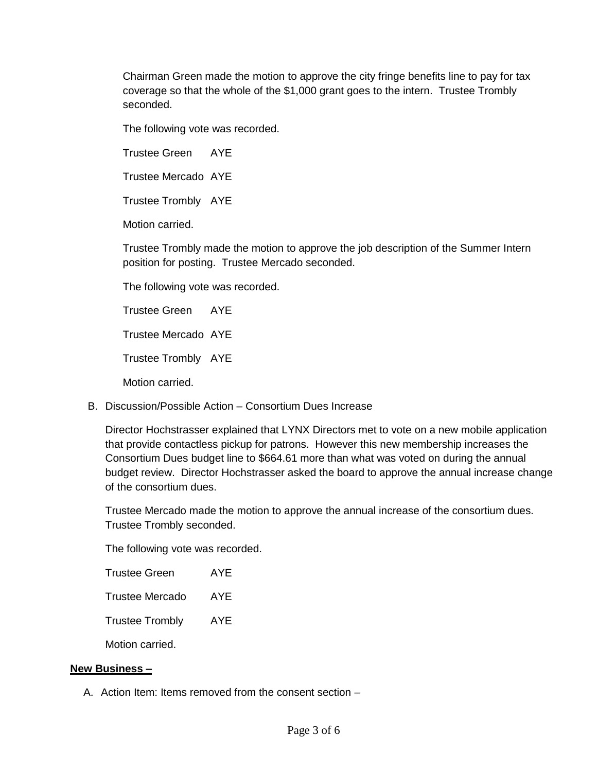Chairman Green made the motion to approve the city fringe benefits line to pay for tax coverage so that the whole of the \$1,000 grant goes to the intern. Trustee Trombly seconded.

The following vote was recorded.

Trustee Green AYE

Trustee Mercado AYE

Trustee Trombly AYE

Motion carried.

Trustee Trombly made the motion to approve the job description of the Summer Intern position for posting. Trustee Mercado seconded.

The following vote was recorded.

Trustee Green AYE

Trustee Mercado AYE

Trustee Trombly AYE

Motion carried.

B. Discussion/Possible Action – Consortium Dues Increase

Director Hochstrasser explained that LYNX Directors met to vote on a new mobile application that provide contactless pickup for patrons. However this new membership increases the Consortium Dues budget line to \$664.61 more than what was voted on during the annual budget review. Director Hochstrasser asked the board to approve the annual increase change of the consortium dues.

Trustee Mercado made the motion to approve the annual increase of the consortium dues. Trustee Trombly seconded.

The following vote was recorded.

| <b>Trustee Green</b>   | AYF |
|------------------------|-----|
| <b>Trustee Mercado</b> | AYE |
| <b>Trustee Trombly</b> | AYF |
| Motion carried.        |     |

#### **New Business –**

A. Action Item: Items removed from the consent section –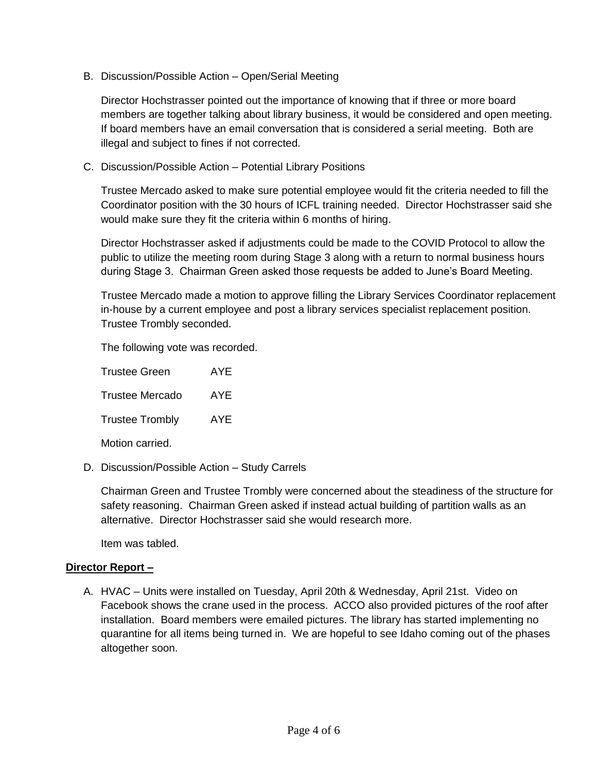B. Discussion/Possible Action – Open/Serial Meeting

Director Hochstrasser pointed out the importance of knowing that if three or more board members are together talking about library business, it would be considered and open meeting. If board members have an email conversation that is considered a serial meeting. Both are illegal and subject to fines if not corrected.

C. Discussion/Possible Action – Potential Library Positions

Trustee Mercado asked to make sure potential employee would fit the criteria needed to fill the Coordinator position with the 30 hours of ICFL training needed. Director Hochstrasser said she would make sure they fit the criteria within 6 months of hiring.

Director Hochstrasser asked if adjustments could be made to the COVID Protocol to allow the public to utilize the meeting room during Stage 3 along with a return to normal business hours during Stage 3. Chairman Green asked those requests be added to June's Board Meeting.

Trustee Mercado made a motion to approve filling the Library Services Coordinator replacement in-house by a current employee and post a library services specialist replacement position. Trustee Trombly seconded.

The following vote was recorded.

Trustee Green AYE Trustee Mercado AYE Trustee Trombly AYE Motion carried.

D. Discussion/Possible Action – Study Carrels

Chairman Green and Trustee Trombly were concerned about the steadiness of the structure for safety reasoning. Chairman Green asked if instead actual building of partition walls as an alternative. Director Hochstrasser said she would research more.

Item was tabled.

## **Director Report –**

A. HVAC – Units were installed on Tuesday, April 20th & Wednesday, April 21st. Video on Facebook shows the crane used in the process. ACCO also provided pictures of the roof after installation. Board members were emailed pictures. The library has started implementing no quarantine for all items being turned in. We are hopeful to see Idaho coming out of the phases altogether soon.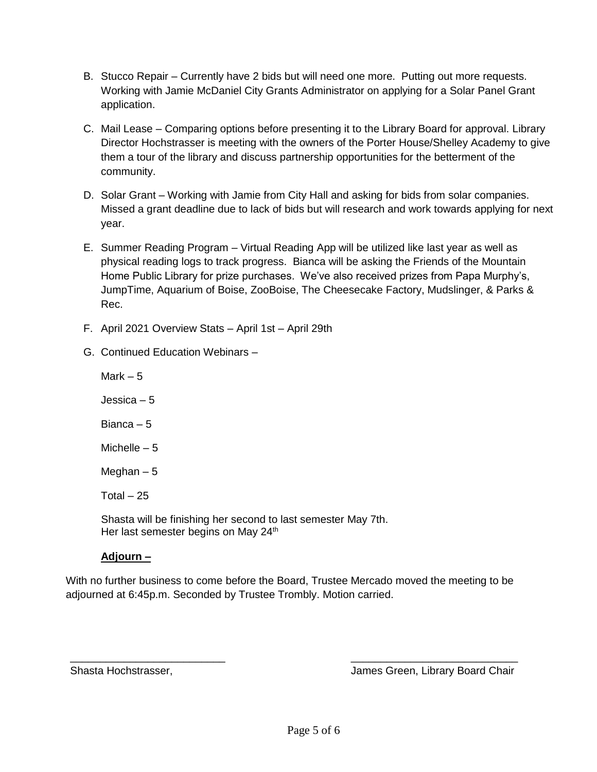- B. Stucco Repair Currently have 2 bids but will need one more. Putting out more requests. Working with Jamie McDaniel City Grants Administrator on applying for a Solar Panel Grant application.
- C. Mail Lease Comparing options before presenting it to the Library Board for approval. Library Director Hochstrasser is meeting with the owners of the Porter House/Shelley Academy to give them a tour of the library and discuss partnership opportunities for the betterment of the community.
- D. Solar Grant Working with Jamie from City Hall and asking for bids from solar companies. Missed a grant deadline due to lack of bids but will research and work towards applying for next year.
- E. Summer Reading Program Virtual Reading App will be utilized like last year as well as physical reading logs to track progress. Bianca will be asking the Friends of the Mountain Home Public Library for prize purchases. We've also received prizes from Papa Murphy's, JumpTime, Aquarium of Boise, ZooBoise, The Cheesecake Factory, Mudslinger, & Parks & Rec.
- F. April 2021 Overview Stats April 1st April 29th
- G. Continued Education Webinars –

Mark  $-5$ Jessica – 5 Bianca – 5 Michelle – 5 Meghan  $-5$ Total  $-25$ Shasta will be finishing her second to last semester May 7th. Her last semester begins on May 24<sup>th</sup>

# **Adjourn –**

With no further business to come before the Board, Trustee Mercado moved the meeting to be adjourned at 6:45p.m. Seconded by Trustee Trombly. Motion carried.

 $\overline{\phantom{a}}$  , and the contract of the contract of the contract of the contract of the contract of the contract of the contract of the contract of the contract of the contract of the contract of the contract of the contrac

Shasta Hochstrasser, James Green, Library Board Chair